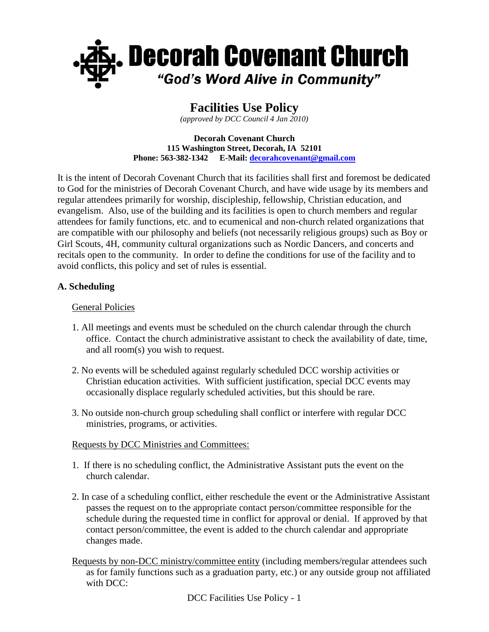

# **Facilities Use Policy**

*(approved by DCC Council 4 Jan 2010)*

#### **Decorah Covenant Church 115 Washington Street, Decorah, IA 52101 Phone: 563-382-1342 E-Mail[: decorahcovenant@gmail.com](mailto:decorahcovenant@gmail.com)**

It is the intent of Decorah Covenant Church that its facilities shall first and foremost be dedicated to God for the ministries of Decorah Covenant Church, and have wide usage by its members and regular attendees primarily for worship, discipleship, fellowship, Christian education, and evangelism. Also, use of the building and its facilities is open to church members and regular attendees for family functions, etc. and to ecumenical and non-church related organizations that are compatible with our philosophy and beliefs (not necessarily religious groups) such as Boy or Girl Scouts, 4H, community cultural organizations such as Nordic Dancers, and concerts and recitals open to the community. In order to define the conditions for use of the facility and to avoid conflicts, this policy and set of rules is essential.

### **A. Scheduling**

### General Policies

- 1. All meetings and events must be scheduled on the church calendar through the church office. Contact the church administrative assistant to check the availability of date, time, and all room(s) you wish to request.
- 2. No events will be scheduled against regularly scheduled DCC worship activities or Christian education activities. With sufficient justification, special DCC events may occasionally displace regularly scheduled activities, but this should be rare.
- 3. No outside non-church group scheduling shall conflict or interfere with regular DCC ministries, programs, or activities.

#### Requests by DCC Ministries and Committees:

- 1. If there is no scheduling conflict, the Administrative Assistant puts the event on the church calendar.
- 2. In case of a scheduling conflict, either reschedule the event or the Administrative Assistant passes the request on to the appropriate contact person/committee responsible for the schedule during the requested time in conflict for approval or denial. If approved by that contact person/committee, the event is added to the church calendar and appropriate changes made.
- Requests by non-DCC ministry/committee entity (including members/regular attendees such as for family functions such as a graduation party, etc.) or any outside group not affiliated with DCC:

DCC Facilities Use Policy - 1